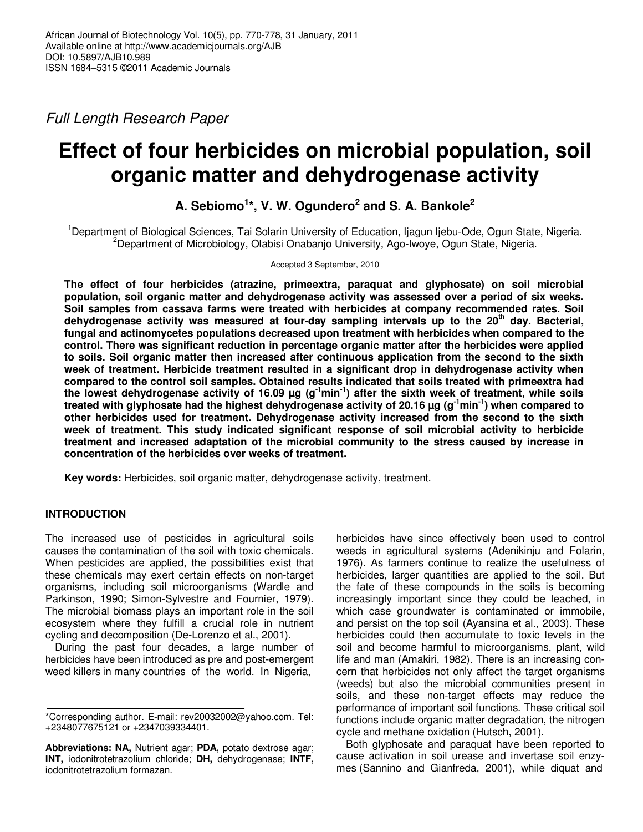Full Length Research Paper

# **Effect of four herbicides on microbial population, soil organic matter and dehydrogenase activity**

# **A. Sebiomo<sup>1</sup> \*, V. W. Ogundero<sup>2</sup> and S. A. Bankole<sup>2</sup>**

<sup>1</sup>Department of Biological Sciences, Tai Solarin University of Education, Ijagun Ijebu-Ode, Ogun State, Nigeria. <sup>2</sup>Department of Microbiology, Olabisi Onabanjo University, Ago-Iwoye, Ogun State, Nigeria.

#### Accepted 3 September, 2010

**The effect of four herbicides (atrazine, primeextra, paraquat and glyphosate) on soil microbial population, soil organic matter and dehydrogenase activity was assessed over a period of six weeks. Soil samples from cassava farms were treated with herbicides at company recommended rates. Soil dehydrogenase activity was measured at four-day sampling intervals up to the 20th day. Bacterial, fungal and actinomycetes populations decreased upon treatment with herbicides when compared to the control. There was significant reduction in percentage organic matter after the herbicides were applied to soils. Soil organic matter then increased after continuous application from the second to the sixth week of treatment. Herbicide treatment resulted in a significant drop in dehydrogenase activity when compared to the control soil samples. Obtained results indicated that soils treated with primeextra had the lowest dehydrogenase activity of 16.09 µg (g-1min-1) after the sixth week of treatment, while soils treated with glyphosate had the highest dehydrogenase activity of 20.16 µg (g-1min-1) when compared to other herbicides used for treatment. Dehydrogenase activity increased from the second to the sixth week of treatment. This study indicated significant response of soil microbial activity to herbicide treatment and increased adaptation of the microbial community to the stress caused by increase in concentration of the herbicides over weeks of treatment.** 

**Key words:** Herbicides, soil organic matter, dehydrogenase activity, treatment.

# **INTRODUCTION**

The increased use of pesticides in agricultural soils causes the contamination of the soil with toxic chemicals. When pesticides are applied, the possibilities exist that these chemicals may exert certain effects on non-target organisms, including soil microorganisms (Wardle and Parkinson, 1990; Simon-Sylvestre and Fournier, 1979). The microbial biomass plays an important role in the soil ecosystem where they fulfill a crucial role in nutrient cycling and decomposition (De-Lorenzo et al., 2001).

During the past four decades, a large number of herbicides have been introduced as pre and post-emergent weed killers in many countries of the world. In Nigeria,

herbicides have since effectively been used to control weeds in agricultural systems (Adenikinju and Folarin, 1976). As farmers continue to realize the usefulness of herbicides, larger quantities are applied to the soil. But the fate of these compounds in the soils is becoming increasingly important since they could be leached, in which case groundwater is contaminated or immobile, and persist on the top soil (Ayansina et al., 2003). These herbicides could then accumulate to toxic levels in the soil and become harmful to microorganisms, plant, wild life and man (Amakiri, 1982). There is an increasing concern that herbicides not only affect the target organisms (weeds) but also the microbial communities present in soils, and these non-target effects may reduce the performance of important soil functions. These critical soil functions include organic matter degradation, the nitrogen cycle and methane oxidation (Hutsch, 2001).

Both glyphosate and paraquat have been reported to cause activation in soil urease and invertase soil enzymes (Sannino and Gianfreda, 2001), while diquat and

<sup>\*</sup>Corresponding author. E-mail: rev20032002@yahoo.com. Tel: +2348077675121 or +2347039334401.

**Abbreviations: NA,** Nutrient agar; **PDA,** potato dextrose agar; **INT,** iodonitrotetrazolium chloride; **DH,** dehydrogenase; **INTF,** iodonitrotetrazolium formazan.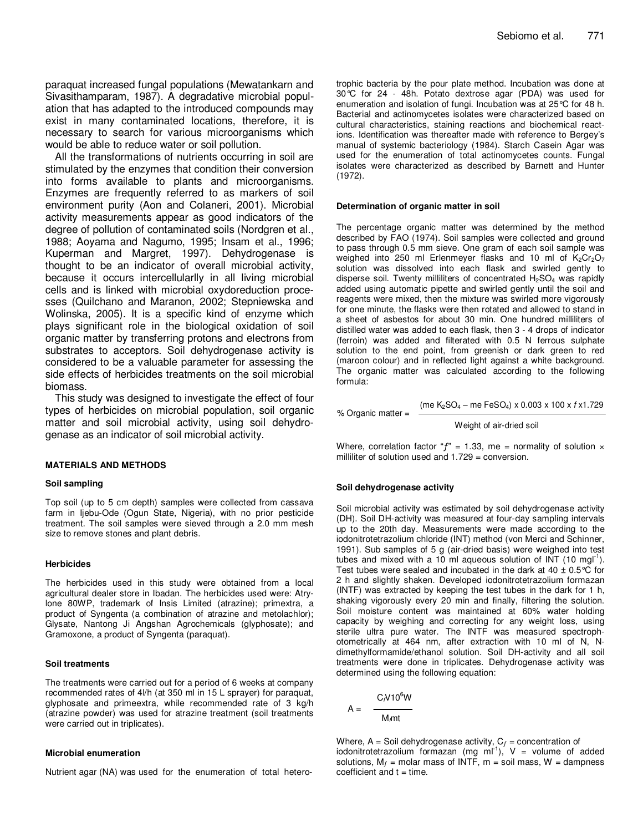paraquat increased fungal populations (Mewatankarn and Sivasithamparam, 1987). A degradative microbial population that has adapted to the introduced compounds may exist in many contaminated locations, therefore, it is necessary to search for various microorganisms which would be able to reduce water or soil pollution.

All the transformations of nutrients occurring in soil are stimulated by the enzymes that condition their conversion into forms available to plants and microorganisms. Enzymes are frequently referred to as markers of soil environment purity (Aon and Colaneri, 2001). Microbial activity measurements appear as good indicators of the degree of pollution of contaminated soils (Nordgren et al., 1988; Aoyama and Nagumo, 1995; Insam et al., 1996; Kuperman and Margret, 1997). Dehydrogenase is thought to be an indicator of overall microbial activity, because it occurs intercellularlly in all living microbial cells and is linked with microbial oxydoreduction processes (Quilchano and Maranon, 2002; Stepniewska and Wolinska, 2005). It is a specific kind of enzyme which plays significant role in the biological oxidation of soil organic matter by transferring protons and electrons from substrates to acceptors. Soil dehydrogenase activity is considered to be a valuable parameter for assessing the side effects of herbicides treatments on the soil microbial biomass.

This study was designed to investigate the effect of four types of herbicides on microbial population, soil organic matter and soil microbial activity, using soil dehydrogenase as an indicator of soil microbial activity.

#### **MATERIALS AND METHODS**

#### **Soil sampling**

Top soil (up to 5 cm depth) samples were collected from cassava farm in Ijebu-Ode (Ogun State, Nigeria), with no prior pesticide treatment. The soil samples were sieved through a 2.0 mm mesh size to remove stones and plant debris.

#### **Herbicides**

The herbicides used in this study were obtained from a local agricultural dealer store in Ibadan. The herbicides used were: Atrylone 80WP, trademark of Insis Limited (atrazine); primextra, a product of Syngenta (a combination of atrazine and metolachlor); Glysate, Nantong Ji Angshan Agrochemicals (glyphosate); and Gramoxone, a product of Syngenta (paraquat).

#### **Soil treatments**

The treatments were carried out for a period of 6 weeks at company recommended rates of 4l/h (at 350 ml in 15 L sprayer) for paraquat, glyphosate and primeextra, while recommended rate of 3 kg/h (atrazine powder) was used for atrazine treatment (soil treatments were carried out in triplicates).

#### **Microbial enumeration**

Nutrient agar (NA) was used for the enumeration of total hetero-

trophic bacteria by the pour plate method. Incubation was done at 30°C for 24 - 48h. Potato dextrose agar (PDA) was used for enumeration and isolation of fungi. Incubation was at 25°C for 48 h. Bacterial and actinomycetes isolates were characterized based on cultural characteristics, staining reactions and biochemical reactions. Identification was thereafter made with reference to Bergey's manual of systemic bacteriology (1984). Starch Casein Agar was used for the enumeration of total actinomycetes counts. Fungal isolates were characterized as described by Barnett and Hunter (1972).

#### **Determination of organic matter in soil**

The percentage organic matter was determined by the method described by FAO (1974). Soil samples were collected and ground to pass through 0.5 mm sieve. One gram of each soil sample was weighed into 250 ml Erlenmeyer flasks and 10 ml of  $K_2Cr_2O_7$ solution was dissolved into each flask and swirled gently to disperse soil. Twenty milliliters of concentrated H<sub>2</sub>SO<sub>4</sub> was rapidly added using automatic pipette and swirled gently until the soil and reagents were mixed, then the mixture was swirled more vigorously for one minute, the flasks were then rotated and allowed to stand in a sheet of asbestos for about 30 min. One hundred milliliters of distilled water was added to each flask, then 3 - 4 drops of indicator (ferroin) was added and filterated with 0.5 N ferrous sulphate solution to the end point, from greenish or dark green to red (maroon colour) and in reflected light against a white background. The organic matter was calculated according to the following formula:

(me  $K_2SO_4$  – me FeSO<sub>4</sub>) x 0.003 x 100 x  $f$  x1.729 % Organic matter =

Weight of air-dried soil

Where, correlation factor " $f'' = 1.33$ , me = normality of solution  $\times$ milliliter of solution used and 1.729 = conversion.

#### **Soil dehydrogenase activity**

Soil microbial activity was estimated by soil dehydrogenase activity (DH). Soil DH-activity was measured at four-day sampling intervals up to the 20th day. Measurements were made according to the iodonitrotetrazolium chloride (INT) method (von Merci and Schinner, 1991). Sub samples of 5 g (air-dried basis) were weighed into test tubes and mixed with a 10 ml aqueous solution of INT (10 mgl<sup>-1</sup>). Test tubes were sealed and incubated in the dark at 40  $\pm$  0.5 $\degree$ C for 2 h and slightly shaken. Developed iodonitrotetrazolium formazan (INTF) was extracted by keeping the test tubes in the dark for 1 h, shaking vigorously every 20 min and finally, filtering the solution. Soil moisture content was maintained at 60% water holding capacity by weighing and correcting for any weight loss, using sterile ultra pure water. The INTF was measured spectrophotometrically at 464 nm, after extraction with 10 ml of N, Ndimethylformamide/ethanol solution. Soil DH-activity and all soil treatments were done in triplicates. Dehydrogenase activity was determined using the following equation:

$$
A = \frac{C_{\text{r}}N10^{6}W}{M_{\text{r}}m}
$$

Where,  $A =$  Soil dehydrogenase activity,  $C_f =$  concentration of iodonitrotetrazolium formazan (mg ml<sup>-1</sup>),  $V =$  volume of added solutions,  $M_f$  = molar mass of INTF, m = soil mass, W = dampness coefficient and  $t = time$ .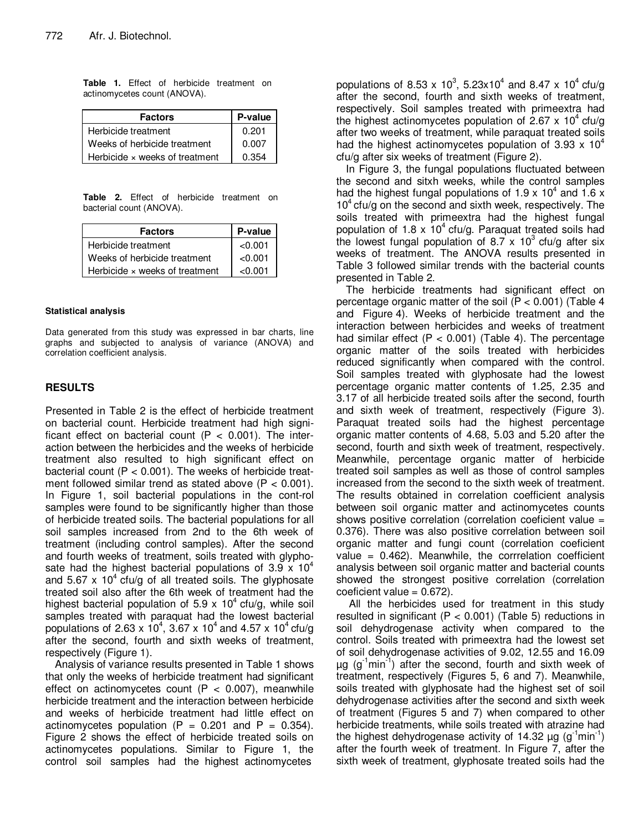|  |  |                              | Table 1. Effect of herbicide treatment on |  |
|--|--|------------------------------|-------------------------------------------|--|
|  |  | actinomycetes count (ANOVA). |                                           |  |

| <b>Factors</b>                 | P-value |
|--------------------------------|---------|
| Herbicide treatment            | 0.201   |
| Weeks of herbicide treatment   | 0.007   |
| Herbicide × weeks of treatment | 0.354   |

**Table 2.** Effect of herbicide treatment on bacterial count (ANOVA).

| <b>Factors</b>                 | P-value |
|--------------------------------|---------|
| Herbicide treatment            | < 0.001 |
| Weeks of herbicide treatment   | < 0.001 |
| Herbicide x weeks of treatment | 001 - ح |

#### **Statistical analysis**

Data generated from this study was expressed in bar charts, line graphs and subjected to analysis of variance (ANOVA) and correlation coefficient analysis.

## **RESULTS**

Presented in Table 2 is the effect of herbicide treatment on bacterial count. Herbicide treatment had high significant effect on bacterial count ( $P < 0.001$ ). The interaction between the herbicides and the weeks of herbicide treatment also resulted to high significant effect on bacterial count  $(P < 0.001)$ . The weeks of herbicide treatment followed similar trend as stated above  $(P < 0.001)$ . In Figure 1, soil bacterial populations in the cont-rol samples were found to be significantly higher than those of herbicide treated soils. The bacterial populations for all soil samples increased from 2nd to the 6th week of treatment (including control samples). After the second and fourth weeks of treatment, soils treated with glyphosate had the highest bacterial populations of 3.9 x 10<sup>4</sup> and  $5.67 \times 10^4$  cfu/g of all treated soils. The glyphosate treated soil also after the 6th week of treatment had the highest bacterial population of 5.9 x  $10<sup>4</sup>$  cfu/g, while soil samples treated with paraquat had the lowest bacterial populations of 2.63 x 10<sup>4</sup>, 3.67 x 10<sup>4</sup> and 4.57 x 10<sup>4</sup> cfu/g after the second, fourth and sixth weeks of treatment, respectively (Figure 1).

Analysis of variance results presented in Table 1 shows that only the weeks of herbicide treatment had significant effect on actinomycetes count  $(P < 0.007)$ , meanwhile herbicide treatment and the interaction between herbicide and weeks of herbicide treatment had little effect on actinomycetes population ( $P = 0.201$  and  $P = 0.354$ ). Figure 2 shows the effect of herbicide treated soils on actinomycetes populations. Similar to Figure 1, the control soil samples had the highest actinomycetes

populations of 8.53 x 10<sup>3</sup>, 5.23x10<sup>4</sup> and 8.47 x 10<sup>4</sup> cfu/g after the second, fourth and sixth weeks of treatment, respectively. Soil samples treated with primeextra had the highest actinomycetes population of 2.67 x  $10^4$  cfu/g after two weeks of treatment, while paraquat treated soils had the highest actinomycetes population of 3.93  $\times$  10<sup>4</sup> cfu/g after six weeks of treatment (Figure 2).

In Figure 3, the fungal populations fluctuated between the second and sitxh weeks, while the control samples had the highest fungal populations of 1.9 x 10<sup>4</sup> and 1.6 x  $10<sup>4</sup>$  cfu/g on the second and sixth week, respectively. The soils treated with primeextra had the highest fungal population of 1.8 x 10<sup>4</sup> cfu/g. Paraquat treated soils had the lowest fungal population of 8.7 x 10<sup>3</sup> cfu/g after six weeks of treatment. The ANOVA results presented in Table 3 followed similar trends with the bacterial counts presented in Table 2.

The herbicide treatments had significant effect on percentage organic matter of the soil ( $P < 0.001$ ) (Table 4 and Figure 4). Weeks of herbicide treatment and the interaction between herbicides and weeks of treatment had similar effect  $(P < 0.001)$  (Table 4). The percentage organic matter of the soils treated with herbicides reduced significantly when compared with the control. Soil samples treated with glyphosate had the lowest percentage organic matter contents of 1.25, 2.35 and 3.17 of all herbicide treated soils after the second, fourth and sixth week of treatment, respectively (Figure 3). Paraquat treated soils had the highest percentage organic matter contents of 4.68, 5.03 and 5.20 after the second, fourth and sixth week of treatment, respectively. Meanwhile, percentage organic matter of herbicide treated soil samples as well as those of control samples increased from the second to the sixth week of treatment. The results obtained in correlation coefficient analysis between soil organic matter and actinomycetes counts shows positive correlation (correlation coeficient value = 0.376). There was also positive correlation between soil organic matter and fungi count (correlation coeficient value  $= 0.462$ ). Meanwhile, the corrrelation coefficient analysis between soil organic matter and bacterial counts showed the strongest positive correlation (correlation  $coeficient value = 0.672$ ).

All the herbicides used for treatment in this study resulted in significant ( $P < 0.001$ ) (Table 5) reductions in soil dehydrogenase activity when compared to the control. Soils treated with primeextra had the lowest set of soil dehydrogenase activities of 9.02, 12.55 and 16.09  $\mu$ g (g<sup>-1</sup>min<sup>-1</sup>) after the second, fourth and sixth week of treatment, respectively (Figures 5, 6 and 7). Meanwhile, soils treated with glyphosate had the highest set of soil dehydrogenase activities after the second and sixth week of treatment (Figures 5 and 7) when compared to other herbicide treatments, while soils treated with atrazine had the highest dehydrogenase activity of 14.32  $\mu$ g (g<sup>-1</sup>min<sup>-1</sup>) after the fourth week of treatment. In Figure 7, after the sixth week of treatment, glyphosate treated soils had the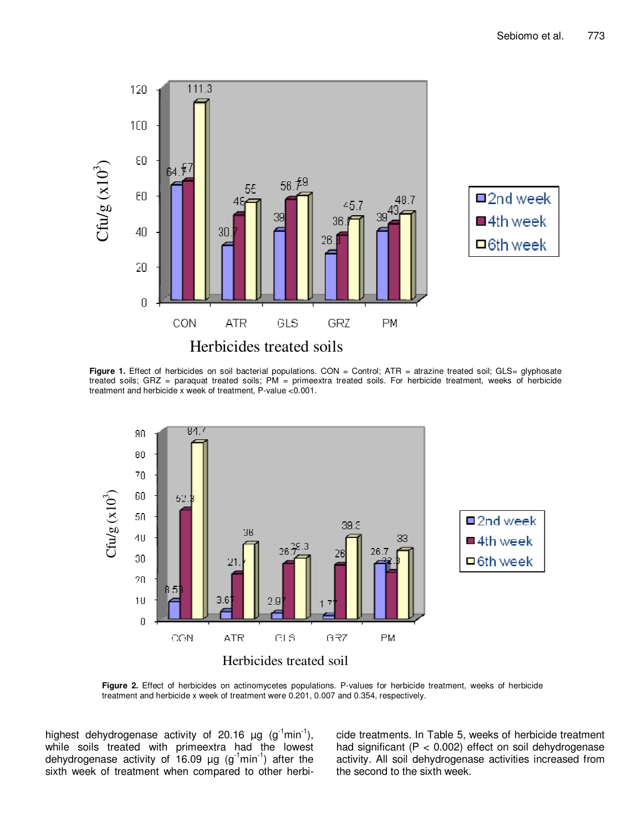

**Figure 1.** Effect of herbicides on soil bacterial populations. CON = Control; ATR = atrazine treated soil; GLS= glyphosate treated soils; GRZ = paraquat treated soils; PM = primeextra treated soils. For herbicide treatment, weeks of herbicide treatment and herbicide x week of treatment, P-value <0.001.



**Figure 2.** Effect of herbicides on actinomycetes populations. P-values for herbicide treatment, weeks of herbicide treatment and herbicide x week of treatment were 0.201, 0.007 and 0.354, respectively.

highest dehydrogenase activity of 20.16  $\mu$ g (g<sup>-1</sup>min<sup>-1</sup>), while soils treated with primeextra had the lowest dehydrogenase activity of 16.09  $\mu$ g (g<sup>-1</sup>min<sup>-1</sup>) after the sixth week of treatment when compared to other herbicide treatments. In Table 5, weeks of herbicide treatment had significant  $(P < 0.002)$  effect on soil dehydrogenase activity. All soil dehydrogenase activities increased from the second to the sixth week.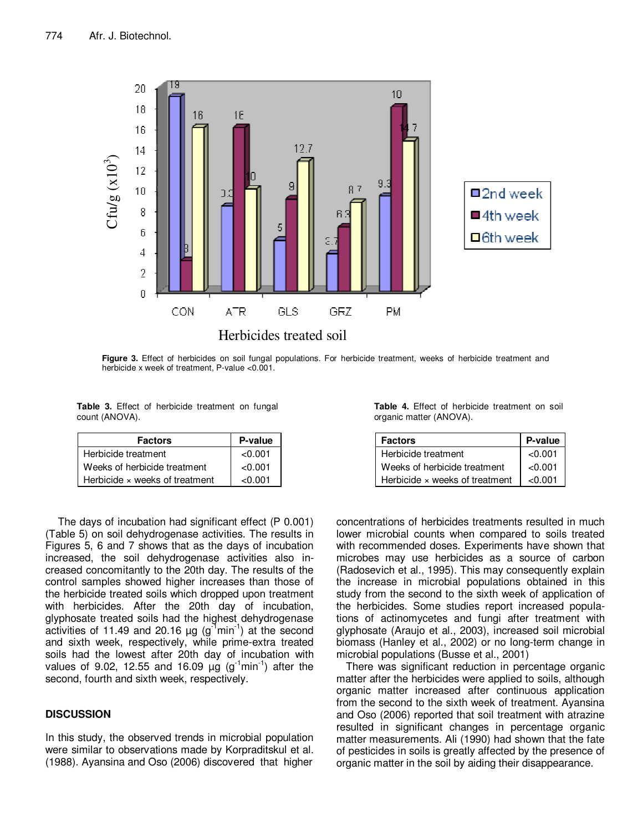

**Figure 3.** Effect of herbicides on soil fungal populations. For herbicide treatment, weeks of herbicide treatment and herbicide x week of treatment, P-value <0.001.

**Table 3.** Effect of herbicide treatment on fungal count (ANOVA).

| <b>Factors</b>                 | P-value |
|--------------------------------|---------|
| Herbicide treatment            | < 0.001 |
| Weeks of herbicide treatment   | < 0.001 |
| Herbicide x weeks of treatment | < 0.001 |

The days of incubation had significant effect (P 0.001) (Table 5) on soil dehydrogenase activities. The results in Figures 5, 6 and 7 shows that as the days of incubation increased, the soil dehydrogenase activities also increased concomitantly to the 20th day. The results of the control samples showed higher increases than those of the herbicide treated soils which dropped upon treatment with herbicides. After the 20th day of incubation, glyphosate treated soils had the highest dehydrogenase activities of 11.49 and 20.16  $\mu$ g (g<sup>-1</sup>min<sup>-1</sup>) at the second and sixth week, respectively, while prime-extra treated soils had the lowest after 20th day of incubation with values of 9.02, 12.55 and 16.09  $\mu$ g (g<sup>-1</sup>min<sup>-1</sup>) after the second, fourth and sixth week, respectively.

## **DISCUSSION**

In this study, the observed trends in microbial population were similar to observations made by Korpraditskul et al. (1988). Ayansina and Oso (2006) discovered that higher

**Table 4.** Effect of herbicide treatment on soil organic matter (ANOVA).

| <b>Factors</b>                 | P-value |
|--------------------------------|---------|
| Herbicide treatment            | < 0.001 |
| Weeks of herbicide treatment   | < 0.001 |
| Herbicide × weeks of treatment | < 0.001 |

concentrations of herbicides treatments resulted in much lower microbial counts when compared to soils treated with recommended doses. Experiments have shown that microbes may use herbicides as a source of carbon (Radosevich et al., 1995). This may consequently explain the increase in microbial populations obtained in this study from the second to the sixth week of application of the herbicides. Some studies report increased populations of actinomycetes and fungi after treatment with glyphosate (Araujo et al., 2003), increased soil microbial biomass (Hanley et al., 2002) or no long-term change in microbial populations (Busse et al., 2001)

There was significant reduction in percentage organic matter after the herbicides were applied to soils, although organic matter increased after continuous application from the second to the sixth week of treatment. Ayansina and Oso (2006) reported that soil treatment with atrazine resulted in significant changes in percentage organic matter measurements. Ali (1990) had shown that the fate of pesticides in soils is greatly affected by the presence of organic matter in the soil by aiding their disappearance.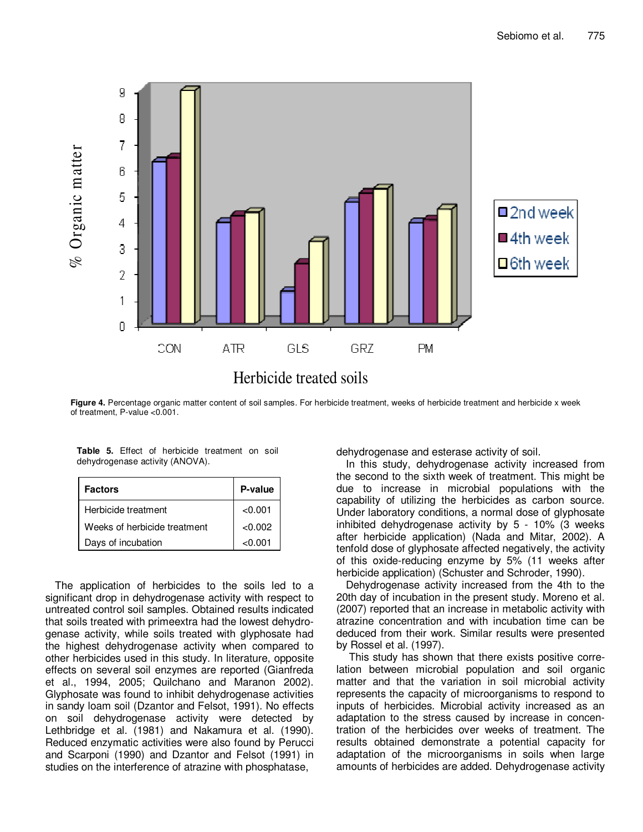

Figure 4. Percentage organic matter content of soil samples. For herbicide treatment, weeks of herbicide treatment and herbicide x week of treatment, P-value <0.001.

**Table 5.** Effect of herbicide treatment on soil dehydrogenase activity (ANOVA).

| <b>Factors</b>               | P-value |  |
|------------------------------|---------|--|
| Herbicide treatment          | < 0.001 |  |
| Weeks of herbicide treatment | < 0.002 |  |
| Days of incubation           | < 0.001 |  |

The application of herbicides to the soils led to a significant drop in dehydrogenase activity with respect to untreated control soil samples. Obtained results indicated that soils treated with primeextra had the lowest dehydrogenase activity, while soils treated with glyphosate had the highest dehydrogenase activity when compared to other herbicides used in this study. In literature, opposite effects on several soil enzymes are reported (Gianfreda et al., 1994, 2005; Quilchano and Maranon 2002). Glyphosate was found to inhibit dehydrogenase activities in sandy loam soil (Dzantor and Felsot, 1991). No effects on soil dehydrogenase activity were detected by Lethbridge et al. (1981) and Nakamura et al. (1990). Reduced enzymatic activities were also found by Perucci and Scarponi (1990) and Dzantor and Felsot (1991) in studies on the interference of atrazine with phosphatase,

dehydrogenase and esterase activity of soil.

In this study, dehydrogenase activity increased from the second to the sixth week of treatment. This might be due to increase in microbial populations with the capability of utilizing the herbicides as carbon source. Under laboratory conditions, a normal dose of glyphosate inhibited dehydrogenase activity by 5 - 10% (3 weeks after herbicide application) (Nada and Mitar, 2002). A tenfold dose of glyphosate affected negatively, the activity of this oxide-reducing enzyme by 5% (11 weeks after herbicide application) (Schuster and Schroder, 1990).

Dehydrogenase activity increased from the 4th to the 20th day of incubation in the present study. Moreno et al. (2007) reported that an increase in metabolic activity with atrazine concentration and with incubation time can be deduced from their work. Similar results were presented by Rossel et al. (1997).

This study has shown that there exists positive correlation between microbial population and soil organic matter and that the variation in soil microbial activity represents the capacity of microorganisms to respond to inputs of herbicides. Microbial activity increased as an adaptation to the stress caused by increase in concentration of the herbicides over weeks of treatment. The results obtained demonstrate a potential capacity for adaptation of the microorganisms in soils when large amounts of herbicides are added. Dehydrogenase activity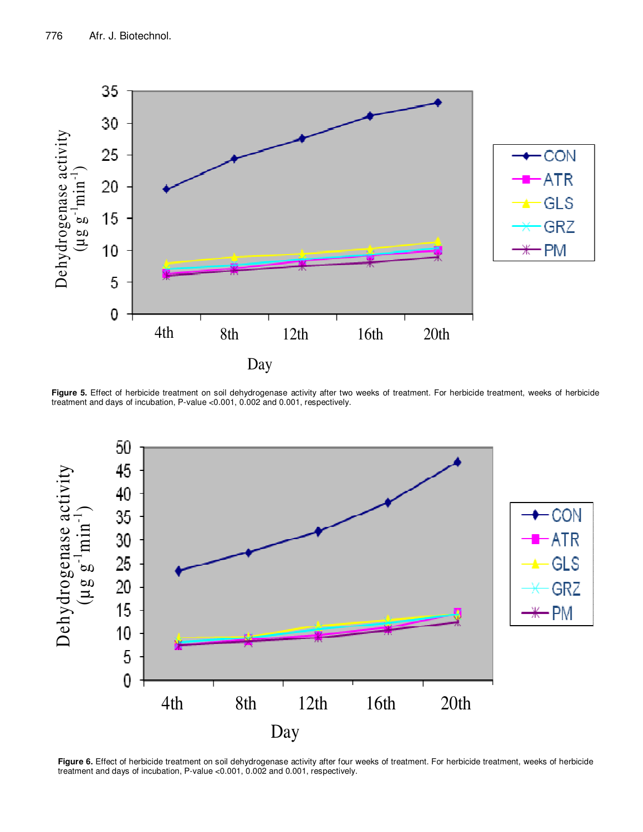

Figure 5. Effect of herbicide treatment on soil dehydrogenase activity after two weeks of treatment. For herbicide treatment, weeks of herbicide treatment and days of incubation, P-value <0.001, 0.002 and 0.001, respectively.



Figure 6. Effect of herbicide treatment on soil dehydrogenase activity after four weeks of treatment. For herbicide treatment, weeks of herbicide treatment and days of incubation, P-value <0.001, 0.002 and 0.001, respectively.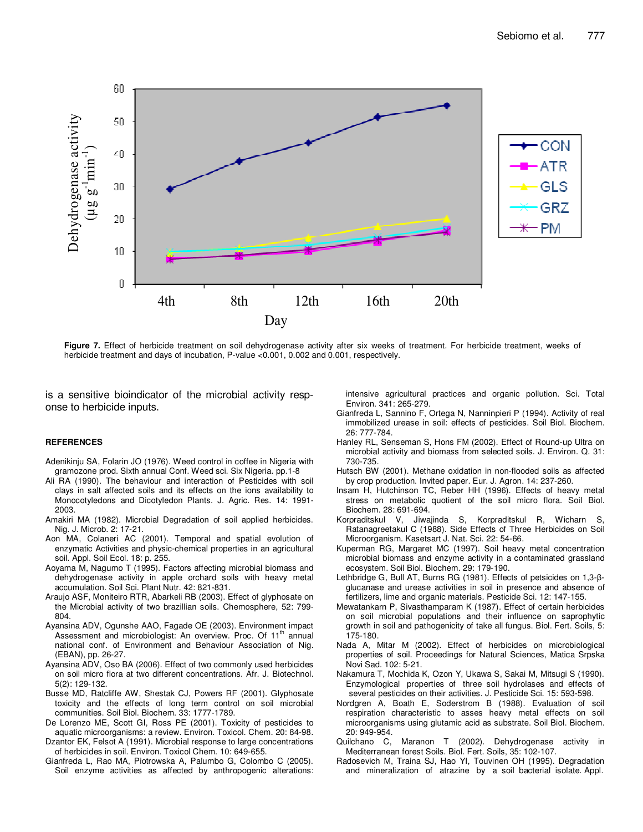

**Figure 7.** Effect of herbicide treatment on soil dehydrogenase activity after six weeks of treatment. For herbicide treatment, weeks of herbicide treatment and days of incubation, P-value <0.001, 0.002 and 0.001, respectively.

is a sensitive bioindicator of the microbial activity response to herbicide inputs.

#### **REFERENCES**

- Adenikinju SA, Folarin JO (1976). Weed control in coffee in Nigeria with gramozone prod. Sixth annual Conf. Weed sci. Six Nigeria. pp.1-8
- Ali RA (1990). The behaviour and interaction of Pesticides with soil clays in salt affected soils and its effects on the ions availability to Monocotyledons and Dicotyledon Plants. J. Agric. Res. 14: 1991- 2003.
- Amakiri MA (1982). Microbial Degradation of soil applied herbicides. Nig. J. Microb. 2: 17-21.
- Aon MA, Colaneri AC (2001). Temporal and spatial evolution of enzymatic Activities and physic-chemical properties in an agricultural soil. Appl. Soil Ecol. 18: p. 255.
- Aoyama M, Nagumo T (1995). Factors affecting microbial biomass and dehydrogenase activity in apple orchard soils with heavy metal accumulation. Soil Sci. Plant Nutr. 42: 821-831.
- Araujo ASF, Moniteiro RTR, Abarkeli RB (2003). Effect of glyphosate on the Microbial activity of two brazillian soils. Chemosphere, 52: 799- 804.
- Ayansina ADV, Ogunshe AAO, Fagade OE (2003). Environment impact Assessment and microbiologist: An overview. Proc. Of  $11<sup>th</sup>$  annual national conf. of Environment and Behaviour Association of Nig. (EBAN), pp. 26-27.
- Ayansina ADV, Oso BA (2006). Effect of two commonly used herbicides on soil micro flora at two different concentrations. Afr. J. Biotechnol. 5(2): 129-132.
- Busse MD, Ratcliffe AW, Shestak CJ, Powers RF (2001). Glyphosate toxicity and the effects of long term control on soil microbial communities. Soil Biol. Biochem. 33: 1777-1789.
- De Lorenzo ME, Scott GI, Ross PE (2001). Toxicity of pesticides to aquatic microorganisms: a review. Environ. Toxicol. Chem. 20: 84-98.
- Dzantor EK, Felsot A (1991). Microbial response to large concentrations of herbicides in soil. Environ. Toxicol Chem. 10: 649-655.
- Gianfreda L, Rao MA, Piotrowska A, Palumbo G, Colombo C (2005). Soil enzyme activities as affected by anthropogenic alterations:

intensive agricultural practices and organic pollution. Sci. Total Environ. 341: 265-279.

- Gianfreda L, Sannino F, Ortega N, Nanninpieri P (1994). Activity of real immobilized urease in soil: effects of pesticides. Soil Biol. Biochem. 26: 777-784.
- Hanley RL, Senseman S, Hons FM (2002). Effect of Round-up Ultra on microbial activity and biomass from selected soils. J. Environ. Q. 31: 730-735.
- Hutsch BW (2001). Methane oxidation in non-flooded soils as affected by crop production. Invited paper. Eur. J. Agron. 14: 237-260.
- Insam H, Hutchinson TC, Reber HH (1996). Effects of heavy metal stress on metabolic quotient of the soil micro flora. Soil Biol. Biochem. 28: 691-694.
- Korpraditskul V, Jiwajinda S, Korpraditskul R, Wicharn S, Ratanagreetakul C (1988). Side Effects of Three Herbicides on Soil Microorganism. Kasetsart J. Nat. Sci. 22: 54-66.
- Kuperman RG, Margaret MC (1997). Soil heavy metal concentration microbial biomass and enzyme activity in a contaminated grassland ecosystem. Soil Biol. Biochem. 29: 179-190.
- Lethbridge G, Bull AT, Burns RG (1981). Effects of petsicides on 1,3-βglucanase and urease activities in soil in presence and absence of fertilizers, lime and organic materials. Pesticide Sci. 12: 147-155.
- Mewatankarn P, Sivasthamparam K (1987). Effect of certain herbicides on soil microbial populations and their influence on saprophytic growth in soil and pathogenicity of take all fungus. Biol. Fert. Soils, 5: 175-180.
- Nada A, Mitar M (2002). Effect of herbicides on microbiological properties of soil. Proceedings for Natural Sciences, Matica Srpska Novi Sad. 102: 5-21.
- Nakamura T, Mochida K, Ozon Y, Ukawa S, Sakai M, Mitsugi S (1990). Enzymological properties of three soil hydrolases and effects of several pesticides on their activities. J. Pesticide Sci. 15: 593-598.
- Nordgren A, Boath E, Soderstrom B (1988). Evaluation of soil respiration characteristic to asses heavy metal effects on soil microorganisms using glutamic acid as substrate. Soil Biol. Biochem. 20: 949-954.
- Quilchano C, Maranon T (2002). Dehydrogenase activity in Mediterranean forest Soils. Biol. Fert. Soils, 35: 102-107.
- Radosevich M, Traina SJ, Hao YI, Touvinen OH (1995). Degradation and mineralization of atrazine by a soil bacterial isolate. Appl.